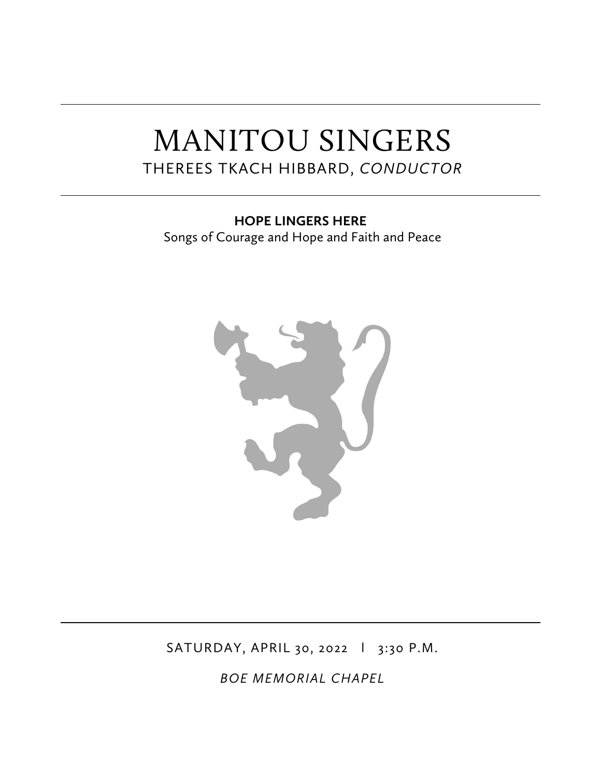# MANITOU SINGERS THEREES TKACH HIBBARD, *CONDUCTOR*

**HOPE LINGERS HERE** Songs of Courage and Hope and Faith and Peace



SATURDAY, APRIL 30, 2022 | 3:30 P.M.

*BOE MEMORIAL CHAPEL*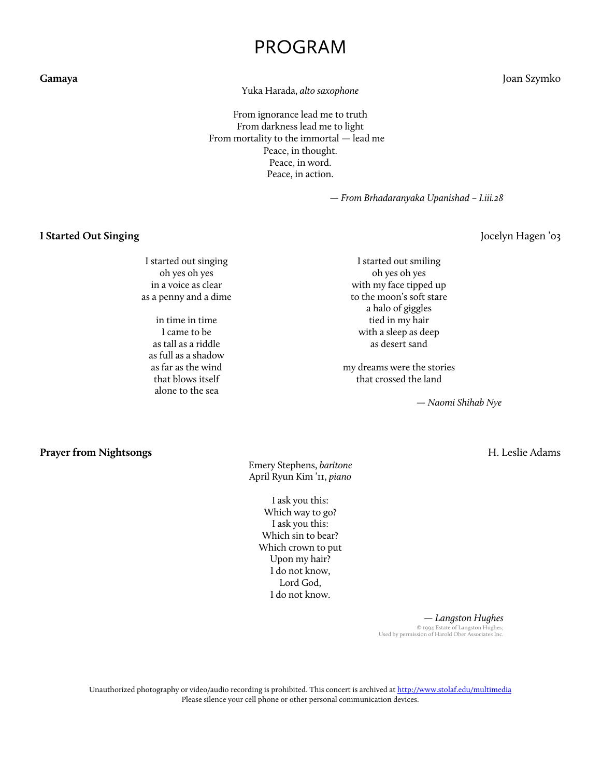## PROGRAM

Yuka Harada, *alto saxophone*

From ignorance lead me to truth From darkness lead me to light From mortality to the immortal — lead me Peace, in thought. Peace, in word. Peace, in action.

— *From Brhadaranyaka Upanishad – I.iii.28*

**I Started Out Singing** Jocelyn Hagen '03

I started out singing oh yes oh yes in a voice as clear as a penny and a dime

in time in time I came to be as tall as a riddle as full as a shadow as far as the wind that blows itself alone to the sea

I started out smiling oh yes oh yes with my face tipped up to the moon's soft stare a halo of giggles tied in my hair with a sleep as deep as desert sand

my dreams were the stories that crossed the land

*— Naomi Shihab Nye*

**Prayer from Nightsongs** H. Leslie Adams

Emery Stephens, *baritone* April Ryun Kim '11, *piano*

I ask you this: Which way to go? I ask you this: Which sin to bear? Which crown to put Upon my hair? I do not know, Lord God, I do not know.

> *— Langston Hughes* © 1994 Estate of Langston Hughes; Used by permission of Harold Ober Associates Inc.

Unauthorized photography or video/audio recording is prohibited. This concert is archived at http://www.stolaf.edu/multimedia Please silence your cell phone or other personal communication devices.

**Gamaya** Joan Szymko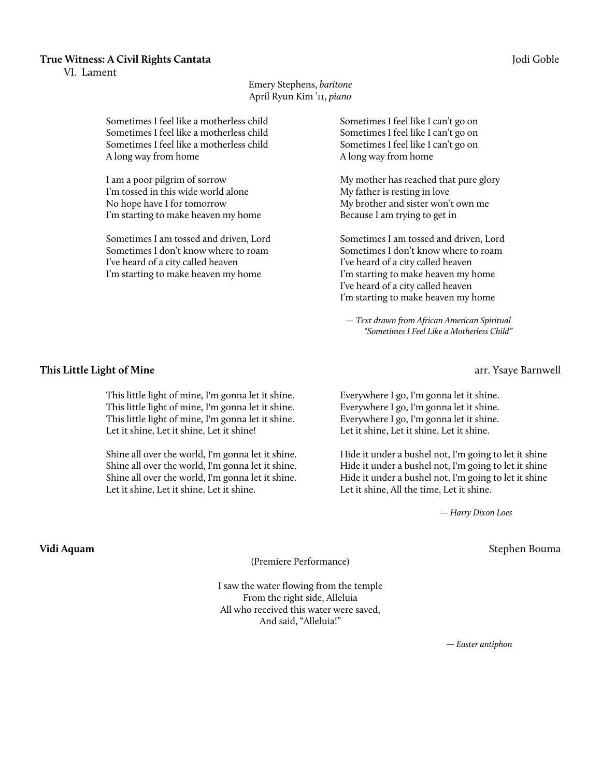#### **True Witness: A Civil Rights Cantata** Jodi Goble

VI. Lament

#### Emery Stephens, *baritone* April Ryun Kim '11, *piano*

Sometimes I feel like a motherless child Sometimes I feel like a motherless child Sometimes I feel like a motherless child A long way from home

I am a poor pilgrim of sorrow I'm tossed in this wide world alone No hope have I for tomorrow I'm starting to make heaven my home

Sometimes I am tossed and driven, Lord Sometimes I don't know where to roam I've heard of a city called heaven I'm starting to make heaven my home

Sometimes I feel like I can't go on Sometimes I feel like I can't go on Sometimes I feel like I can't go on A long way from home

My mother has reached that pure glory My father is resting in love My brother and sister won't own me Because I am trying to get in

Sometimes I am tossed and driven, Lord Sometimes I don't know where to roam I've heard of a city called heaven I'm starting to make heaven my home I've heard of a city called heaven I'm starting to make heaven my home

*— Text drawn from African American Spiritual "Sometimes I Feel Like a Motherless Child"*

#### **This Little Light of Mine** arr. Ysaye Barnwell

This little light of mine, I'm gonna let it shine. This little light of mine, I'm gonna let it shine. This little light of mine, I'm gonna let it shine. Let it shine, Let it shine, Let it shine!

Shine all over the world, I'm gonna let it shine. Shine all over the world, I'm gonna let it shine. Shine all over the world, I'm gonna let it shine. Let it shine, Let it shine, Let it shine.

Everywhere I go, I'm gonna let it shine. Everywhere I go, I'm gonna let it shine. Everywhere I go, I'm gonna let it shine. Let it shine, Let it shine, Let it shine.

Hide it under a bushel not, I'm going to let it shine Hide it under a bushel not, I'm going to let it shine Hide it under a bushel not, I'm going to let it shine Let it shine, All the time, Let it shine.

 *— Harry Dixon Loes*

(Premiere Performance)

I saw the water flowing from the temple From the right side, Alleluia All who received this water were saved, And said, "Alleluia!"

*— Easter antiphon*

**Vidi Aquam** Stephen Bouma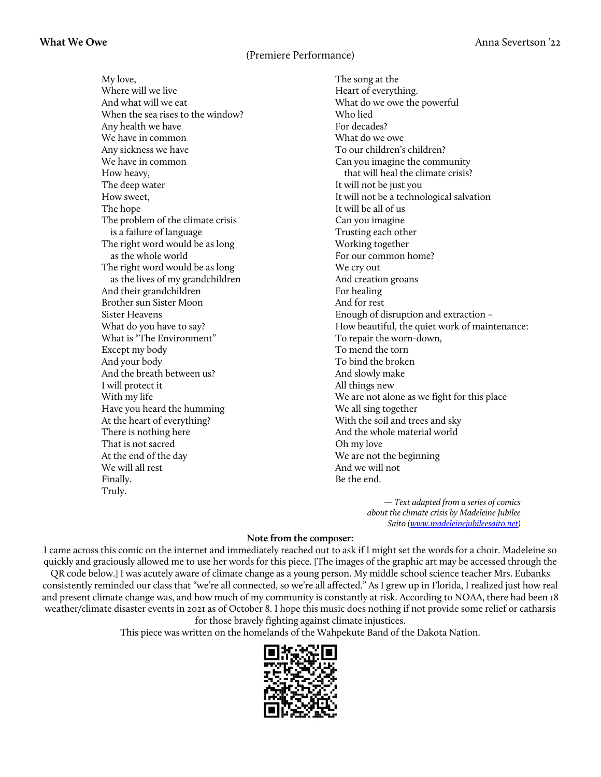### (Premiere Performance)

My love, Where will we live And what will we eat When the sea rises to the window? Any health we have We have in common Any sickness we have We have in common How heavy, The deep water How sweet, The hope The problem of the climate crisis is a failure of language The right word would be as long as the whole world The right word would be as long as the lives of my grandchildren And their grandchildren Brother sun Sister Moon Sister Heavens What do you have to say? What is "The Environment" Except my body And your body And the breath between us? I will protect it With my life Have you heard the humming At the heart of everything? There is nothing here That is not sacred At the end of the day We will all rest Finally. Truly.

The song at the Heart of everything. What do we owe the powerful Who lied For decades? What do we owe To our children's children? Can you imagine the community that will heal the climate crisis? It will not be just you It will not be a technological salvation It will be all of us Can you imagine Trusting each other Working together For our common home? We cry out And creation groans For healing And for rest Enough of disruption and extraction – How beautiful, the quiet work of maintenance: To repair the worn-down, To mend the torn To bind the broken And slowly make All things new We are not alone as we fight for this place We all sing together With the soil and trees and sky And the whole material world Oh my love We are not the beginning And we will not Be the end.

> *— Text adapted from a series of comics about the climate crisis by Madeleine Jubilee Saito (www.madeleinejubileesaito.net)*

#### **Note from the composer:**

I came across this comic on the internet and immediately reached out to ask if I might set the words for a choir. Madeleine so quickly and graciously allowed me to use her words for this piece. [The images of the graphic art may be accessed through the QR code below.] I was acutely aware of climate change as a young person. My middle school science teacher Mrs. Eubanks consistently reminded our class that "we're all connected, so we're all affected." As I grew up in Florida, I realized just how real and present climate change was, and how much of my community is constantly at risk. According to NOAA, there had been 18 weather/climate disaster events in 2021 as of October 8. I hope this music does nothing if not provide some relief or catharsis for those bravely fighting against climate injustices.

This piece was written on the homelands of the Wahpekute Band of the Dakota Nation.

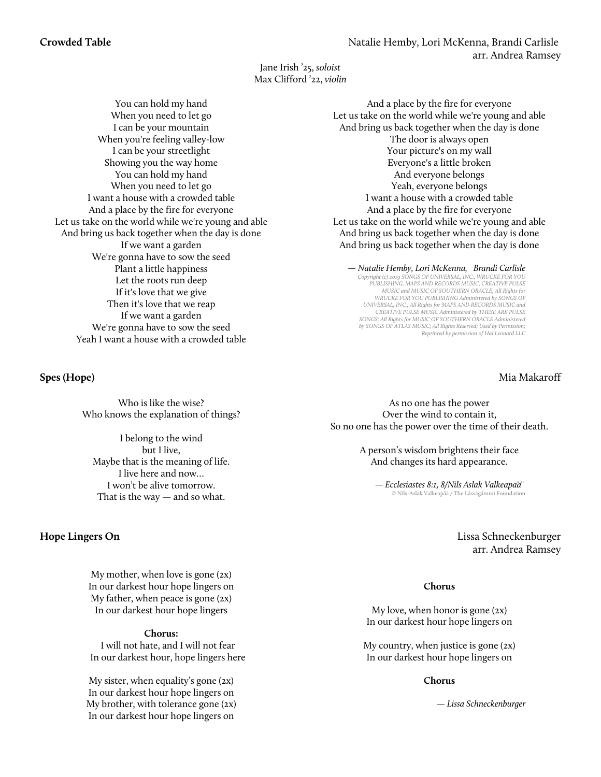Jane Irish '25, *soloist* Max Clifford '22, *violin*

You can hold my hand When you need to let go I can be your mountain When you're feeling valley-low I can be your streetlight Showing you the way home You can hold my hand When you need to let go I want a house with a crowded table And a place by the fire for everyone Let us take on the world while we're young and able And bring us back together when the day is done If we want a garden We're gonna have to sow the seed Plant a little happiness Let the roots run deep If it's love that we give Then it's love that we reap If we want a garden We're gonna have to sow the seed Yeah I want a house with a crowded table

Who is like the wise? Who knows the explanation of things?

I belong to the wind but I live, Maybe that is the meaning of life. I live here and now… I won't be alive tomorrow. That is the way — and so what.

My mother, when love is gone (2x) In our darkest hour hope lingers on My father, when peace is gone (2x) In our darkest hour hope lingers

#### **Chorus:**

I will not hate, and I will not fear In our darkest hour, hope lingers here

My sister, when equality's gone (2x) In our darkest hour hope lingers on My brother, with tolerance gone (2x) In our darkest hour hope lingers on

And a place by the fire for everyone Let us take on the world while we're young and able And bring us back together when the day is done The door is always open Your picture's on my wall Everyone's a little broken And everyone belongs Yeah, everyone belongs I want a house with a crowded table And a place by the fire for everyone Let us take on the world while we're young and able And bring us back together when the day is done And bring us back together when the day is done

*— Natalie Hemby, Lori McKenna, Brandi Carlisle Copyright (c) 2019 SONGS OF UNIVERSAL, INC., WRUCKE FOR YOU PUBLISHING, MAPS AND RECORDS MUSIC, CREATIVE PULSE MUSIC and MUSIC OF SOUTHERN ORACLE; All Rights for WRUCKE FOR YOU PUBLISHING Administered by SONGS OF UNIVERSAL, INC.; All Rights for MAPS AND RECORDS MUSIC and CREATIVE PULSE MUSIC Administered by THESE ARE PULSE SONGS; All Rights for MUSIC OF SOUTHERN ORACLE Administered by SONGS OF ATLAS MUSIC; All Rights Reserved; Used by Permission; Reprinted by permission of Hal Leonard LLC*

### **Spes (Hope)** Mia Makaroff

As no one has the power Over the wind to contain it, So no one has the power over the time of their death.

> A person's wisdom brightens their face And changes its hard appearance.

*— Ecclesiastes 8:1, 8/Nils Aslak Valkeapää* © Nils-Aslak Valkeapää / The Lásságámmi Foundation

**Hope Lingers On** Lissa Schneckenburger arr. Andrea Ramsey

#### **Chorus**

My love, when honor is gone (2x) In our darkest hour hope lingers on

My country, when justice is gone (2x) In our darkest hour hope lingers on

#### **Chorus**

*<sup>—</sup> Lissa Schneckenburger*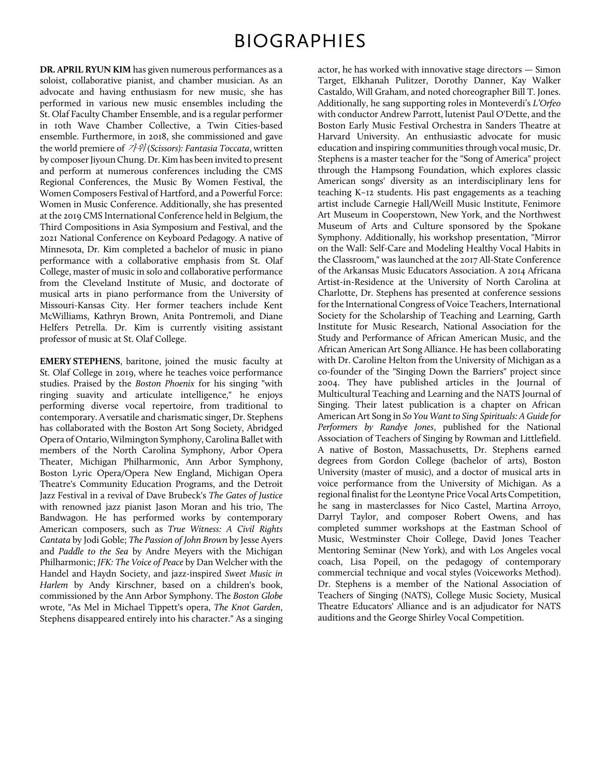## BIOGRAPHIES

**DR. APRIL RYUN KIM** has given numerous performances as a soloist, collaborative pianist, and chamber musician. As an advocate and having enthusiasm for new music, she has performed in various new music ensembles including the St. Olaf Faculty Chamber Ensemble, and is a regular performer in 10th Wave Chamber Collective, a Twin Cities-based ensemble. Furthermore, in 2018, she commissioned and gave the world premiere of 가위 *(Scissors): Fantasia Toccata*, written by composer Jiyoun Chung. Dr. Kim has been invited to present and perform at numerous conferences including the CMS Regional Conferences, the Music By Women Festival, the Women Composers Festival of Hartford, and a Powerful Force: Women in Music Conference. Additionally, she has presented at the 2019 CMS International Conference held in Belgium, the Third Compositions in Asia Symposium and Festival, and the 2021 National Conference on Keyboard Pedagogy. A native of Minnesota, Dr. Kim completed a bachelor of music in piano performance with a collaborative emphasis from St. Olaf College, master of music in solo and collaborative performance from the Cleveland Institute of Music, and doctorate of musical arts in piano performance from the University of Missouri-Kansas City. Her former teachers include Kent McWilliams, Kathryn Brown, Anita Pontremoli, and Diane Helfers Petrella. Dr. Kim is currently visiting assistant professor of music at St. Olaf College.

**EMERY STEPHENS**, baritone, joined the music faculty at St. Olaf College in 2019, where he teaches voice performance studies. Praised by the *Boston Phoenix* for his singing "with ringing suavity and articulate intelligence," he enjoys performing diverse vocal repertoire, from traditional to contemporary. A versatile and charismatic singer, Dr. Stephens has collaborated with the Boston Art Song Society, Abridged Opera of Ontario, Wilmington Symphony, Carolina Ballet with members of the North Carolina Symphony, Arbor Opera Theater, Michigan Philharmonic, Ann Arbor Symphony, Boston Lyric Opera/Opera New England, Michigan Opera Theatre's Community Education Programs, and the Detroit Jazz Festival in a revival of Dave Brubeck's *The Gates of Justice* with renowned jazz pianist Jason Moran and his trio, The Bandwagon. He has performed works by contemporary American composers, such as *True Witness: A Civil Rights Cantata* by Jodi Goble; *The Passion of John Brown* by Jesse Ayers and *Paddle to the Sea* by Andre Meyers with the Michigan Philharmonic; *JFK: The Voice of Peace* by Dan Welcher with the Handel and Haydn Society, and jazz-inspired *Sweet Music in Harlem* by Andy Kirschner, based on a children's book, commissioned by the Ann Arbor Symphony. The *Boston Globe* wrote, "As Mel in Michael Tippett's opera, *The Knot Garden*, Stephens disappeared entirely into his character." As a singing

actor, he has worked with innovative stage directors — Simon Target, Elkhanah Pulitzer, Dorothy Danner, Kay Walker Castaldo, Will Graham, and noted choreographer Bill T. Jones. Additionally, he sang supporting roles in Monteverdi's *L'Orfeo*  with conductor Andrew Parrott, lutenist Paul O'Dette, and the Boston Early Music Festival Orchestra in Sanders Theatre at Harvard University. An enthusiastic advocate for music education and inspiring communities through vocal music, Dr. Stephens is a master teacher for the "Song of America" project through the Hampsong Foundation, which explores classic American songs' diversity as an interdisciplinary lens for teaching K–12 students. His past engagements as a teaching artist include Carnegie Hall/Weill Music Institute, Fenimore Art Museum in Cooperstown, New York, and the Northwest Museum of Arts and Culture sponsored by the Spokane Symphony. Additionally, his workshop presentation, "Mirror on the Wall: Self-Care and Modeling Healthy Vocal Habits in the Classroom," was launched at the 2017 All-State Conference of the Arkansas Music Educators Association. A 2014 Africana Artist-in-Residence at the University of North Carolina at Charlotte, Dr. Stephens has presented at conference sessions for the International Congress of Voice Teachers, International Society for the Scholarship of Teaching and Learning, Garth Institute for Music Research, National Association for the Study and Performance of African American Music, and the African American Art Song Alliance. He has been collaborating with Dr. Caroline Helton from the University of Michigan as a co-founder of the "Singing Down the Barriers" project since 2004. They have published articles in the Journal of Multicultural Teaching and Learning and the NATS Journal of Singing. Their latest publication is a chapter on African American Art Song in *So You Want to Sing Spirituals: A Guide for Performers by Randye Jones*, published for the National Association of Teachers of Singing by Rowman and Littlefield. A native of Boston, Massachusetts, Dr. Stephens earned degrees from Gordon College (bachelor of arts), Boston University (master of music), and a doctor of musical arts in voice performance from the University of Michigan. As a regional finalist for the Leontyne Price Vocal Arts Competition, he sang in masterclasses for Nico Castel, Martina Arroyo, Darryl Taylor, and composer Robert Owens, and has completed summer workshops at the Eastman School of Music, Westminster Choir College, David Jones Teacher Mentoring Seminar (New York), and with Los Angeles vocal coach, Lisa Popeil, on the pedagogy of contemporary commercial technique and vocal styles (Voiceworks Method). Dr. Stephens is a member of the National Association of Teachers of Singing (NATS), College Music Society, Musical Theatre Educators' Alliance and is an adjudicator for NATS auditions and the George Shirley Vocal Competition.